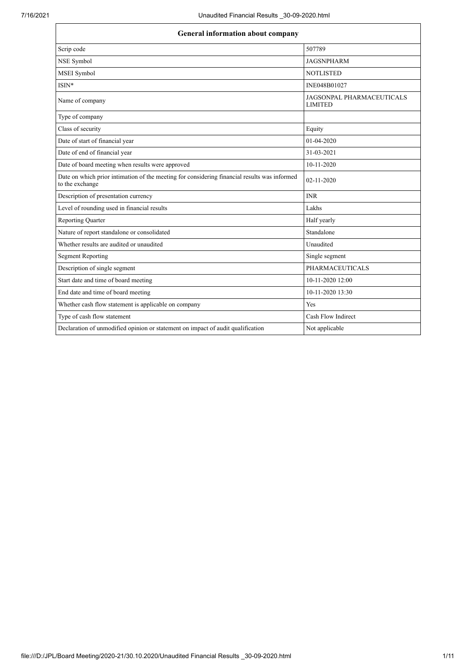| <b>General information about company</b>                                                                        |                                                    |  |
|-----------------------------------------------------------------------------------------------------------------|----------------------------------------------------|--|
| Scrip code                                                                                                      | 507789                                             |  |
| NSE Symbol                                                                                                      | <b>JAGSNPHARM</b>                                  |  |
| MSEI Symbol                                                                                                     | <b>NOTLISTED</b>                                   |  |
| ISIN*                                                                                                           | INE048B01027                                       |  |
| Name of company                                                                                                 | <b>JAGSONPAL PHARMACEUTICALS</b><br><b>LIMITED</b> |  |
| Type of company                                                                                                 |                                                    |  |
| Class of security                                                                                               | Equity                                             |  |
| Date of start of financial year                                                                                 | 01-04-2020                                         |  |
| Date of end of financial year                                                                                   | 31-03-2021                                         |  |
| Date of board meeting when results were approved                                                                | $10-11-2020$                                       |  |
| Date on which prior intimation of the meeting for considering financial results was informed<br>to the exchange | 02-11-2020                                         |  |
| Description of presentation currency                                                                            | <b>INR</b>                                         |  |
| Level of rounding used in financial results                                                                     | Lakhs                                              |  |
| <b>Reporting Quarter</b>                                                                                        | Half yearly                                        |  |
| Nature of report standalone or consolidated                                                                     | Standalone                                         |  |
| Whether results are audited or unaudited                                                                        | Unaudited                                          |  |
| <b>Segment Reporting</b>                                                                                        | Single segment                                     |  |
| Description of single segment                                                                                   | <b>PHARMACEUTICALS</b>                             |  |
| Start date and time of board meeting                                                                            | 10-11-2020 12:00                                   |  |
| End date and time of board meeting                                                                              | 10-11-2020 13:30                                   |  |
| Whether cash flow statement is applicable on company                                                            | Yes                                                |  |
| Type of cash flow statement                                                                                     | Cash Flow Indirect                                 |  |
| Declaration of unmodified opinion or statement on impact of audit qualification                                 | Not applicable                                     |  |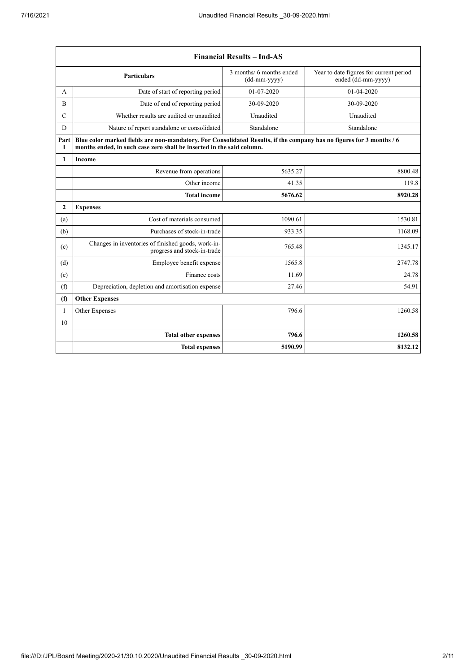$\mathbf{r}$ 

| <b>Financial Results - Ind-AS</b>            |                                                                                                                                                                                               |                                            |                                                               |  |
|----------------------------------------------|-----------------------------------------------------------------------------------------------------------------------------------------------------------------------------------------------|--------------------------------------------|---------------------------------------------------------------|--|
|                                              | <b>Particulars</b>                                                                                                                                                                            | 3 months/ 6 months ended<br>$(dd-mm-yyyy)$ | Year to date figures for current period<br>ended (dd-mm-yyyy) |  |
| А                                            | Date of start of reporting period                                                                                                                                                             | $01-07-2020$                               | 01-04-2020                                                    |  |
| B                                            | Date of end of reporting period                                                                                                                                                               | 30-09-2020                                 | 30-09-2020                                                    |  |
| $\mathbf C$                                  | Whether results are audited or unaudited                                                                                                                                                      | Unaudited                                  | Unaudited                                                     |  |
| D                                            | Nature of report standalone or consolidated                                                                                                                                                   | Standalone                                 | Standalone                                                    |  |
| Part<br>Т                                    | Blue color marked fields are non-mandatory. For Consolidated Results, if the company has no figures for 3 months / 6<br>months ended, in such case zero shall be inserted in the said column. |                                            |                                                               |  |
| $\mathbf{1}$                                 | <b>Income</b>                                                                                                                                                                                 |                                            |                                                               |  |
|                                              | Revenue from operations                                                                                                                                                                       | 5635.27                                    | 8800.48                                                       |  |
|                                              | Other income                                                                                                                                                                                  | 41.35                                      | 119.8                                                         |  |
|                                              | <b>Total income</b>                                                                                                                                                                           | 5676.62                                    | 8920.28                                                       |  |
| $\mathbf{2}$                                 | <b>Expenses</b>                                                                                                                                                                               |                                            |                                                               |  |
| Cost of materials consumed<br>1090.61<br>(a) |                                                                                                                                                                                               | 1530.81                                    |                                                               |  |
| (b)                                          | Purchases of stock-in-trade                                                                                                                                                                   | 933.35                                     | 1168.09                                                       |  |
| (c)                                          | Changes in inventories of finished goods, work-in-<br>progress and stock-in-trade                                                                                                             | 765.48                                     | 1345.17                                                       |  |
| (d)                                          | Employee benefit expense                                                                                                                                                                      | 1565.8                                     | 2747.78                                                       |  |
| (e)                                          | Finance costs                                                                                                                                                                                 | 11.69                                      | 24.78                                                         |  |
| (f)                                          | Depreciation, depletion and amortisation expense                                                                                                                                              | 27.46                                      | 54.91                                                         |  |
| (f)                                          | <b>Other Expenses</b>                                                                                                                                                                         |                                            |                                                               |  |
| $\mathbf{1}$                                 | Other Expenses                                                                                                                                                                                | 796.6                                      | 1260.58                                                       |  |
| 10                                           |                                                                                                                                                                                               |                                            |                                                               |  |
|                                              | <b>Total other expenses</b>                                                                                                                                                                   | 796.6                                      | 1260.58                                                       |  |
|                                              | <b>Total expenses</b>                                                                                                                                                                         | 5190.99                                    | 8132.12                                                       |  |

 $\overline{\phantom{a}}$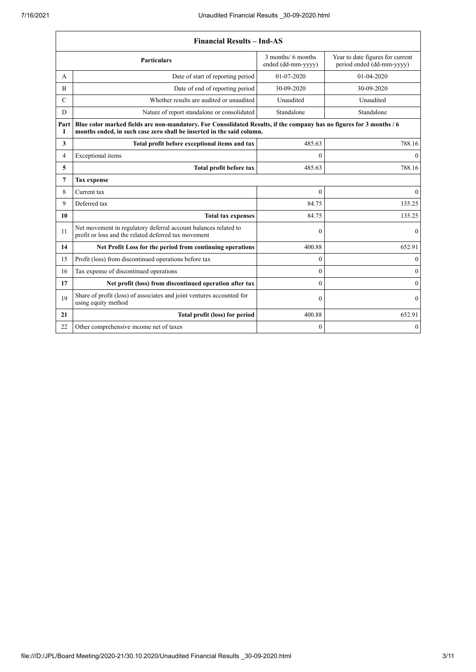$\mathbf{r}$ 

|               | <b>Financial Results - Ind-AS</b>                                                                                                                                                             |              |                  |  |  |
|---------------|-----------------------------------------------------------------------------------------------------------------------------------------------------------------------------------------------|--------------|------------------|--|--|
|               | 3 months/ 6 months<br>Year to date figures for current<br><b>Particulars</b><br>period ended (dd-mm-yyyy)<br>ended (dd-mm-yyyy)                                                               |              |                  |  |  |
| A             | Date of start of reporting period                                                                                                                                                             | 01-07-2020   | 01-04-2020       |  |  |
| B             | Date of end of reporting period                                                                                                                                                               | 30-09-2020   | 30-09-2020       |  |  |
| $\mathcal{C}$ | Whether results are audited or unaudited                                                                                                                                                      | Unaudited    | Unaudited        |  |  |
| D             | Nature of report standalone or consolidated                                                                                                                                                   | Standalone   | Standalone       |  |  |
| Part<br>Т     | Blue color marked fields are non-mandatory. For Consolidated Results, if the company has no figures for 3 months / 6<br>months ended, in such case zero shall be inserted in the said column. |              |                  |  |  |
| 3             | Total profit before exceptional items and tax                                                                                                                                                 | 485.63       | 788.16           |  |  |
| 4             | Exceptional items                                                                                                                                                                             | $\theta$     | $\mathbf{0}$     |  |  |
| 5             | <b>Total profit before tax</b>                                                                                                                                                                | 485.63       | 788.16           |  |  |
| 7             | <b>Tax expense</b>                                                                                                                                                                            |              |                  |  |  |
| 8             | Current tax                                                                                                                                                                                   | $\theta$     | $\boldsymbol{0}$ |  |  |
| 9             | Deferred tax                                                                                                                                                                                  | 84.75        | 135.25           |  |  |
| 10            | <b>Total tax expenses</b>                                                                                                                                                                     | 84.75        | 135.25           |  |  |
| 11            | Net movement in regulatory deferral account balances related to<br>profit or loss and the related deferred tax movement                                                                       | $\theta$     | $\mathbf{0}$     |  |  |
| 14            | Net Profit Loss for the period from continuing operations                                                                                                                                     | 400.88       | 652.91           |  |  |
| 15            | Profit (loss) from discontinued operations before tax                                                                                                                                         | $\theta$     | $\mathbf{0}$     |  |  |
| 16            | Tax expense of discontinued operations                                                                                                                                                        | $\theta$     | $\boldsymbol{0}$ |  |  |
| 17            | Net profit (loss) from discontinued operation after tax                                                                                                                                       | $\theta$     | $\boldsymbol{0}$ |  |  |
| 19            | Share of profit (loss) of associates and joint ventures accounted for<br>using equity method                                                                                                  | $\theta$     | $\theta$         |  |  |
| 21            | Total profit (loss) for period                                                                                                                                                                | 400.88       | 652.91           |  |  |
| 22            | Other comprehensive income net of taxes                                                                                                                                                       | $\mathbf{0}$ | $\mathbf{0}$     |  |  |

 $\overline{\phantom{a}}$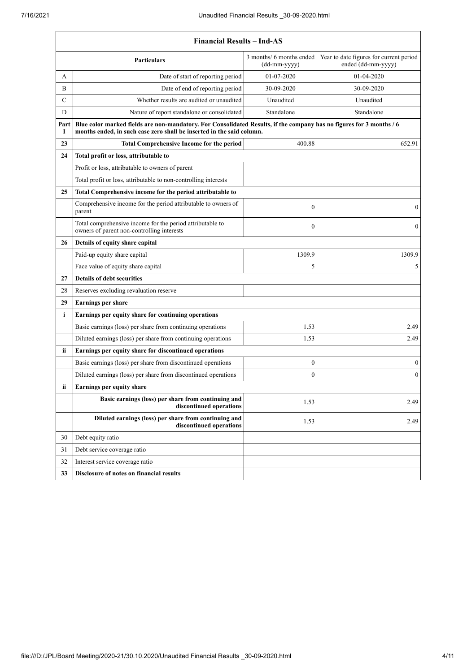$\overline{1}$ 

|                                                                                        | <b>Financial Results - Ind-AS</b>                                                                                                                                                             |                  |                  |  |  |  |
|----------------------------------------------------------------------------------------|-----------------------------------------------------------------------------------------------------------------------------------------------------------------------------------------------|------------------|------------------|--|--|--|
|                                                                                        | 3 months/ 6 months ended<br>Year to date figures for current period<br><b>Particulars</b><br>ended (dd-mm-yyyy)<br>(dd-mm-yyyy)                                                               |                  |                  |  |  |  |
| A                                                                                      | Date of start of reporting period                                                                                                                                                             | 01-07-2020       | $01-04-2020$     |  |  |  |
| B                                                                                      | Date of end of reporting period                                                                                                                                                               | 30-09-2020       | 30-09-2020       |  |  |  |
| C                                                                                      | Whether results are audited or unaudited                                                                                                                                                      | Unaudited        | Unaudited        |  |  |  |
| D                                                                                      | Nature of report standalone or consolidated                                                                                                                                                   | Standalone       | Standalone       |  |  |  |
| Part<br>1                                                                              | Blue color marked fields are non-mandatory. For Consolidated Results, if the company has no figures for 3 months / 6<br>months ended, in such case zero shall be inserted in the said column. |                  |                  |  |  |  |
| 23                                                                                     | <b>Total Comprehensive Income for the period</b>                                                                                                                                              | 400.88           | 652.91           |  |  |  |
| 24                                                                                     | Total profit or loss, attributable to                                                                                                                                                         |                  |                  |  |  |  |
|                                                                                        | Profit or loss, attributable to owners of parent                                                                                                                                              |                  |                  |  |  |  |
|                                                                                        | Total profit or loss, attributable to non-controlling interests                                                                                                                               |                  |                  |  |  |  |
| 25                                                                                     | Total Comprehensive income for the period attributable to                                                                                                                                     |                  |                  |  |  |  |
|                                                                                        | Comprehensive income for the period attributable to owners of<br>parent                                                                                                                       | 0                | $\boldsymbol{0}$ |  |  |  |
|                                                                                        | Total comprehensive income for the period attributable to<br>owners of parent non-controlling interests                                                                                       | $\mathbf{0}$     | $\boldsymbol{0}$ |  |  |  |
| Details of equity share capital<br>26                                                  |                                                                                                                                                                                               |                  |                  |  |  |  |
|                                                                                        | Paid-up equity share capital                                                                                                                                                                  | 1309.9           | 1309.9           |  |  |  |
|                                                                                        | Face value of equity share capital                                                                                                                                                            | 5                | 5                |  |  |  |
| 27                                                                                     | <b>Details of debt securities</b>                                                                                                                                                             |                  |                  |  |  |  |
| 28                                                                                     | Reserves excluding revaluation reserve                                                                                                                                                        |                  |                  |  |  |  |
| 29                                                                                     | Earnings per share                                                                                                                                                                            |                  |                  |  |  |  |
| i                                                                                      | Earnings per equity share for continuing operations                                                                                                                                           |                  |                  |  |  |  |
|                                                                                        | Basic earnings (loss) per share from continuing operations                                                                                                                                    | 1.53             | 2.49             |  |  |  |
|                                                                                        | Diluted earnings (loss) per share from continuing operations                                                                                                                                  | 1.53             | 2.49             |  |  |  |
| ii                                                                                     | Earnings per equity share for discontinued operations                                                                                                                                         |                  |                  |  |  |  |
|                                                                                        | Basic earnings (loss) per share from discontinued operations                                                                                                                                  | $\boldsymbol{0}$ | $\boldsymbol{0}$ |  |  |  |
|                                                                                        | Diluted earnings (loss) per share from discontinued operations                                                                                                                                | $\theta$         | $\boldsymbol{0}$ |  |  |  |
| Earnings per equity share<br>ii                                                        |                                                                                                                                                                                               |                  |                  |  |  |  |
| Basic earnings (loss) per share from continuing and<br>1.53<br>discontinued operations |                                                                                                                                                                                               | 2.49             |                  |  |  |  |
|                                                                                        | Diluted earnings (loss) per share from continuing and<br>discontinued operations                                                                                                              | 1.53             | 2.49             |  |  |  |
| 30                                                                                     | Debt equity ratio                                                                                                                                                                             |                  |                  |  |  |  |
| 31                                                                                     | Debt service coverage ratio                                                                                                                                                                   |                  |                  |  |  |  |
| 32                                                                                     | Interest service coverage ratio                                                                                                                                                               |                  |                  |  |  |  |
| 33                                                                                     | Disclosure of notes on financial results                                                                                                                                                      |                  |                  |  |  |  |
|                                                                                        |                                                                                                                                                                                               |                  |                  |  |  |  |

 $\overline{\phantom{0}}$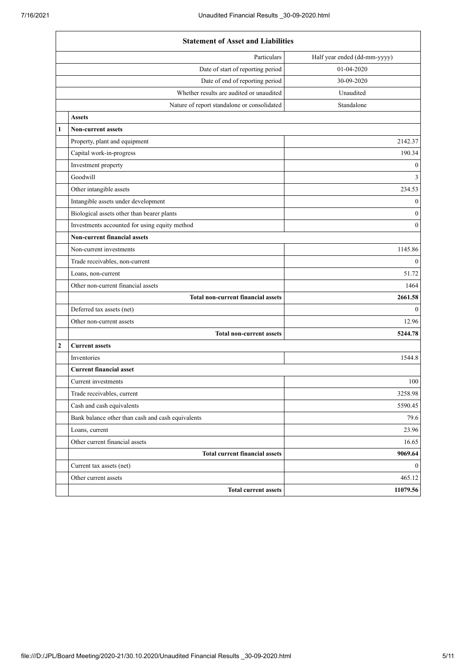|                                     | <b>Statement of Asset and Liabilities</b>         |                              |  |
|-------------------------------------|---------------------------------------------------|------------------------------|--|
|                                     | Particulars                                       | Half year ended (dd-mm-yyyy) |  |
|                                     | Date of start of reporting period                 | 01-04-2020                   |  |
|                                     | Date of end of reporting period                   | 30-09-2020                   |  |
|                                     | Whether results are audited or unaudited          | Unaudited                    |  |
|                                     | Nature of report standalone or consolidated       | Standalone                   |  |
|                                     | <b>Assets</b>                                     |                              |  |
| 1                                   | <b>Non-current assets</b>                         |                              |  |
|                                     | Property, plant and equipment                     | 2142.37                      |  |
|                                     | Capital work-in-progress                          | 190.34                       |  |
|                                     | Investment property                               | $\boldsymbol{0}$             |  |
|                                     | Goodwill                                          | $\overline{3}$               |  |
|                                     | Other intangible assets                           | 234.53                       |  |
|                                     | Intangible assets under development               | $\overline{0}$               |  |
|                                     | Biological assets other than bearer plants        | $\boldsymbol{0}$             |  |
|                                     | Investments accounted for using equity method     | $\boldsymbol{0}$             |  |
| <b>Non-current financial assets</b> |                                                   |                              |  |
| Non-current investments             |                                                   | 1145.86                      |  |
|                                     | Trade receivables, non-current                    | $\boldsymbol{0}$             |  |
|                                     | Loans, non-current                                | 51.72                        |  |
|                                     | Other non-current financial assets                | 1464                         |  |
|                                     | <b>Total non-current financial assets</b>         | 2661.58                      |  |
|                                     | Deferred tax assets (net)                         | $\mathbf{0}$                 |  |
|                                     | Other non-current assets                          | 12.96                        |  |
|                                     | <b>Total non-current assets</b>                   | 5244.78                      |  |
| $\overline{2}$                      | <b>Current assets</b>                             |                              |  |
|                                     | Inventories                                       | 1544.8                       |  |
|                                     | <b>Current financial asset</b>                    |                              |  |
|                                     | Current investments                               | 100                          |  |
|                                     | Trade receivables, current                        | 3258.98                      |  |
|                                     | Cash and cash equivalents                         | 5590.45                      |  |
|                                     | Bank balance other than cash and cash equivalents | 79.6                         |  |
|                                     | Loans, current                                    | 23.96                        |  |
|                                     | Other current financial assets                    | 16.65                        |  |
|                                     | <b>Total current financial assets</b>             | 9069.64                      |  |
|                                     | Current tax assets (net)                          | $\overline{0}$               |  |
|                                     | Other current assets                              | 465.12                       |  |
|                                     | <b>Total current assets</b>                       | 11079.56                     |  |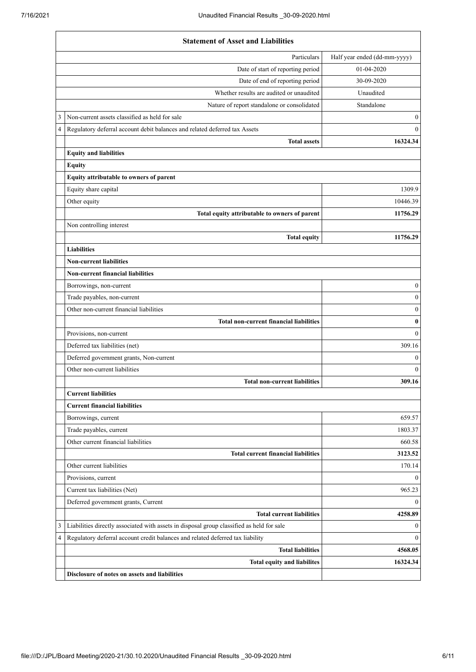|                            | <b>Statement of Asset and Liabilities</b>                                                 |                              |  |
|----------------------------|-------------------------------------------------------------------------------------------|------------------------------|--|
|                            | Particulars                                                                               | Half year ended (dd-mm-yyyy) |  |
|                            | Date of start of reporting period                                                         | 01-04-2020                   |  |
|                            | Date of end of reporting period                                                           | 30-09-2020                   |  |
|                            | Whether results are audited or unaudited                                                  | Unaudited                    |  |
|                            | Nature of report standalone or consolidated                                               | Standalone                   |  |
| 3                          | Non-current assets classified as held for sale                                            | $\mathbf{0}$                 |  |
| 4                          | Regulatory deferral account debit balances and related deferred tax Assets                | $\theta$                     |  |
|                            | <b>Total assets</b>                                                                       | 16324.34                     |  |
|                            | <b>Equity and liabilities</b>                                                             |                              |  |
|                            | <b>Equity</b>                                                                             |                              |  |
|                            | Equity attributable to owners of parent                                                   |                              |  |
|                            | Equity share capital                                                                      | 1309.9                       |  |
|                            | Other equity                                                                              | 10446.39                     |  |
|                            | Total equity attributable to owners of parent                                             | 11756.29                     |  |
|                            | Non controlling interest                                                                  |                              |  |
|                            | <b>Total equity</b>                                                                       | 11756.29                     |  |
|                            | <b>Liabilities</b>                                                                        |                              |  |
|                            | <b>Non-current liabilities</b>                                                            |                              |  |
|                            | <b>Non-current financial liabilities</b>                                                  |                              |  |
|                            | Borrowings, non-current                                                                   | $\boldsymbol{0}$             |  |
|                            | Trade payables, non-current                                                               | $\boldsymbol{0}$             |  |
|                            | Other non-current financial liabilities                                                   | $\boldsymbol{0}$             |  |
|                            | <b>Total non-current financial liabilities</b>                                            | $\bf{0}$                     |  |
|                            | Provisions, non-current                                                                   | $\Omega$                     |  |
|                            | Deferred tax liabilities (net)                                                            | 309.16                       |  |
|                            | Deferred government grants, Non-current                                                   | $\bf{0}$                     |  |
|                            | Other non-current liabilities                                                             | $\theta$                     |  |
|                            | <b>Total non-current liabilities</b>                                                      | 309.16                       |  |
| <b>Current liabilities</b> |                                                                                           |                              |  |
|                            | <b>Current financial liabilities</b>                                                      |                              |  |
|                            | Borrowings, current                                                                       | 659.57                       |  |
|                            | Trade payables, current                                                                   | 1803.37                      |  |
|                            | Other current financial liabilities                                                       | 660.58                       |  |
|                            | <b>Total current financial liabilities</b>                                                | 3123.52                      |  |
|                            | Other current liabilities                                                                 | 170.14                       |  |
|                            | Provisions, current                                                                       | $\bf{0}$                     |  |
|                            | Current tax liabilities (Net)                                                             | 965.23                       |  |
|                            | Deferred government grants, Current                                                       | $\bf{0}$                     |  |
|                            | <b>Total current liabilities</b>                                                          | 4258.89                      |  |
| 3                          | Liabilities directly associated with assets in disposal group classified as held for sale | $\boldsymbol{0}$             |  |
| 4                          | Regulatory deferral account credit balances and related deferred tax liability            | $\mathbf{0}$                 |  |
|                            | <b>Total liabilities</b>                                                                  | 4568.05                      |  |
|                            | Total equity and liabilites                                                               | 16324.34                     |  |
|                            | Disclosure of notes on assets and liabilities                                             |                              |  |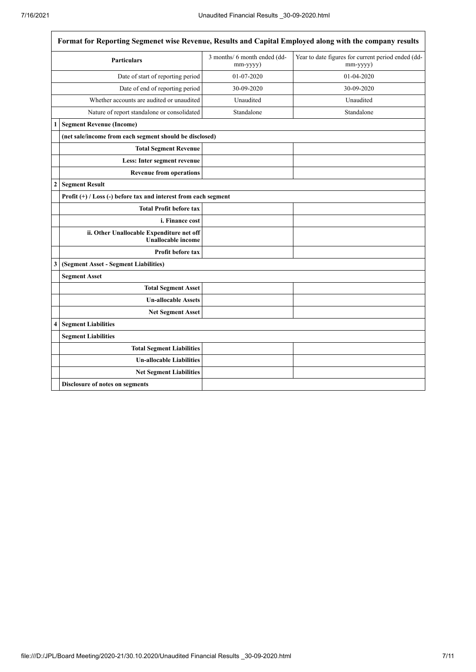$\overline{\phantom{a}}$ 

|                  | Format for Reporting Segmenet wise Revenue, Results and Capital Employed along with the company results |                                          |                                                                |  |  |
|------------------|---------------------------------------------------------------------------------------------------------|------------------------------------------|----------------------------------------------------------------|--|--|
|                  | <b>Particulars</b>                                                                                      | 3 months/ 6 month ended (dd-<br>mm-yyyy) | Year to date figures for current period ended (dd-<br>mm-yyyy) |  |  |
|                  | Date of start of reporting period                                                                       | 01-07-2020                               | 01-04-2020                                                     |  |  |
|                  | Date of end of reporting period                                                                         | 30-09-2020                               | 30-09-2020                                                     |  |  |
|                  | Whether accounts are audited or unaudited                                                               | Unaudited                                | Unaudited                                                      |  |  |
|                  | Nature of report standalone or consolidated                                                             | Standalone                               | Standalone                                                     |  |  |
| 1                | <b>Segment Revenue (Income)</b>                                                                         |                                          |                                                                |  |  |
|                  | (net sale/income from each segment should be disclosed)                                                 |                                          |                                                                |  |  |
|                  | <b>Total Segment Revenue</b>                                                                            |                                          |                                                                |  |  |
|                  | Less: Inter segment revenue                                                                             |                                          |                                                                |  |  |
|                  | <b>Revenue from operations</b>                                                                          |                                          |                                                                |  |  |
| $\boldsymbol{2}$ | <b>Segment Result</b>                                                                                   |                                          |                                                                |  |  |
|                  | Profit $(+)$ / Loss (-) before tax and interest from each segment                                       |                                          |                                                                |  |  |
|                  | <b>Total Profit before tax</b>                                                                          |                                          |                                                                |  |  |
|                  | i. Finance cost                                                                                         |                                          |                                                                |  |  |
|                  | ii. Other Unallocable Expenditure net off<br><b>Unallocable income</b>                                  |                                          |                                                                |  |  |
|                  | Profit before tax                                                                                       |                                          |                                                                |  |  |
| 3                | (Segment Asset - Segment Liabilities)                                                                   |                                          |                                                                |  |  |
|                  | <b>Segment Asset</b>                                                                                    |                                          |                                                                |  |  |
|                  | <b>Total Segment Asset</b>                                                                              |                                          |                                                                |  |  |
|                  | <b>Un-allocable Assets</b>                                                                              |                                          |                                                                |  |  |
|                  | Net Segment Asset                                                                                       |                                          |                                                                |  |  |
| 4                | <b>Segment Liabilities</b>                                                                              |                                          |                                                                |  |  |
|                  | <b>Segment Liabilities</b>                                                                              |                                          |                                                                |  |  |
|                  | <b>Total Segment Liabilities</b>                                                                        |                                          |                                                                |  |  |
|                  | <b>Un-allocable Liabilities</b>                                                                         |                                          |                                                                |  |  |
|                  | <b>Net Segment Liabilities</b>                                                                          |                                          |                                                                |  |  |
|                  | Disclosure of notes on segments                                                                         |                                          |                                                                |  |  |
|                  |                                                                                                         |                                          |                                                                |  |  |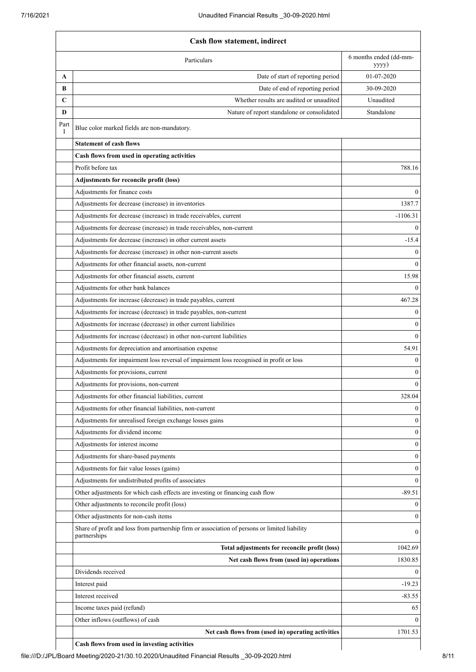|           | <b>Cash flow statement, indirect</b>                                                                          |                  |  |
|-----------|---------------------------------------------------------------------------------------------------------------|------------------|--|
|           | 6 months ended (dd-mm-<br>Particulars<br>yyyy)                                                                |                  |  |
| A         | Date of start of reporting period                                                                             | 01-07-2020       |  |
| В         | Date of end of reporting period                                                                               | 30-09-2020       |  |
| C         | Whether results are audited or unaudited                                                                      | Unaudited        |  |
| D         | Nature of report standalone or consolidated                                                                   | Standalone       |  |
| Part<br>Ι | Blue color marked fields are non-mandatory.                                                                   |                  |  |
|           | <b>Statement of cash flows</b>                                                                                |                  |  |
|           | Cash flows from used in operating activities                                                                  |                  |  |
|           | Profit before tax                                                                                             | 788.16           |  |
|           | Adjustments for reconcile profit (loss)                                                                       |                  |  |
|           | Adjustments for finance costs                                                                                 | $\theta$         |  |
|           | Adjustments for decrease (increase) in inventories                                                            | 1387.7           |  |
|           | Adjustments for decrease (increase) in trade receivables, current                                             | $-1106.31$       |  |
|           | Adjustments for decrease (increase) in trade receivables, non-current                                         | $\theta$         |  |
|           | Adjustments for decrease (increase) in other current assets                                                   | $-15.4$          |  |
|           | Adjustments for decrease (increase) in other non-current assets                                               | $\mathbf{0}$     |  |
|           | Adjustments for other financial assets, non-current                                                           | $\Omega$         |  |
|           | Adjustments for other financial assets, current                                                               | 15.98            |  |
|           | Adjustments for other bank balances                                                                           | $\Omega$         |  |
|           | Adjustments for increase (decrease) in trade payables, current                                                | 467.28           |  |
|           | Adjustments for increase (decrease) in trade payables, non-current                                            | $\boldsymbol{0}$ |  |
|           | Adjustments for increase (decrease) in other current liabilities                                              | $\boldsymbol{0}$ |  |
|           |                                                                                                               |                  |  |
|           | Adjustments for increase (decrease) in other non-current liabilities                                          | $\mathbf{0}$     |  |
|           | Adjustments for depreciation and amortisation expense                                                         | 54.91            |  |
|           | Adjustments for impairment loss reversal of impairment loss recognised in profit or loss                      | $\boldsymbol{0}$ |  |
|           | Adjustments for provisions, current                                                                           | $\boldsymbol{0}$ |  |
|           | Adjustments for provisions, non-current                                                                       | $\boldsymbol{0}$ |  |
|           | Adjustments for other financial liabilities, current                                                          | 328.04           |  |
|           | Adjustments for other financial liabilities, non-current                                                      | $\mathbf{0}$     |  |
|           | Adjustments for unrealised foreign exchange losses gains                                                      | $\boldsymbol{0}$ |  |
|           | Adjustments for dividend income                                                                               | $\boldsymbol{0}$ |  |
|           | Adjustments for interest income                                                                               | $\boldsymbol{0}$ |  |
|           | Adjustments for share-based payments                                                                          | $\boldsymbol{0}$ |  |
|           | Adjustments for fair value losses (gains)                                                                     | $\boldsymbol{0}$ |  |
|           | Adjustments for undistributed profits of associates                                                           | $\mathbf{0}$     |  |
|           | Other adjustments for which cash effects are investing or financing cash flow                                 | $-89.51$         |  |
|           | Other adjustments to reconcile profit (loss)                                                                  | $\mathbf{0}$     |  |
|           | Other adjustments for non-cash items                                                                          | $\mathbf{0}$     |  |
|           | Share of profit and loss from partnership firm or association of persons or limited liability<br>partnerships | $\theta$         |  |
|           | Total adjustments for reconcile profit (loss)                                                                 | 1042.69          |  |
|           | Net cash flows from (used in) operations                                                                      | 1830.85          |  |
|           | Dividends received                                                                                            | $\mathbf{0}$     |  |
|           | Interest paid                                                                                                 | $-19.23$         |  |
|           | Interest received                                                                                             | $-83.55$         |  |
|           | Income taxes paid (refund)                                                                                    | 65               |  |
|           | Other inflows (outflows) of cash                                                                              | $\theta$         |  |
|           | Net cash flows from (used in) operating activities                                                            | 1701.53          |  |
|           | Cash flows from used in investing activities                                                                  |                  |  |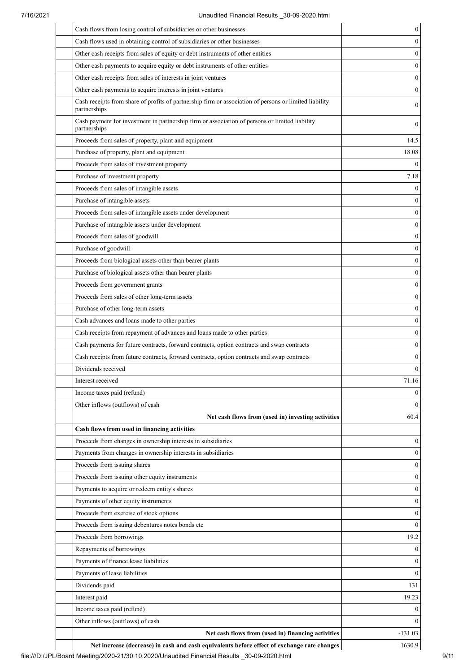| Cash flows from losing control of subsidiaries or other businesses                                                     | $\boldsymbol{0}$             |
|------------------------------------------------------------------------------------------------------------------------|------------------------------|
| Cash flows used in obtaining control of subsidiaries or other businesses                                               | $\mathbf{0}$                 |
| Other cash receipts from sales of equity or debt instruments of other entities                                         | $\mathbf{0}$                 |
| Other cash payments to acquire equity or debt instruments of other entities                                            | $\mathbf{0}$                 |
| Other cash receipts from sales of interests in joint ventures                                                          | $\mathbf{0}$                 |
| Other cash payments to acquire interests in joint ventures                                                             | $\boldsymbol{0}$             |
| Cash receipts from share of profits of partnership firm or association of persons or limited liability<br>partnerships | $\boldsymbol{0}$             |
| Cash payment for investment in partnership firm or association of persons or limited liability<br>partnerships         | $\mathbf{0}$                 |
| Proceeds from sales of property, plant and equipment                                                                   | 14.5                         |
| Purchase of property, plant and equipment                                                                              | 18.08                        |
| Proceeds from sales of investment property                                                                             | $\mathbf{0}$                 |
| Purchase of investment property                                                                                        | 7.18                         |
| Proceeds from sales of intangible assets                                                                               | $\mathbf{0}$                 |
| Purchase of intangible assets                                                                                          | $\theta$                     |
| Proceeds from sales of intangible assets under development                                                             | $\boldsymbol{0}$             |
| Purchase of intangible assets under development                                                                        | $\mathbf{0}$                 |
| Proceeds from sales of goodwill                                                                                        | $\boldsymbol{0}$             |
| Purchase of goodwill                                                                                                   | $\boldsymbol{0}$             |
| Proceeds from biological assets other than bearer plants                                                               | $\boldsymbol{0}$             |
| Purchase of biological assets other than bearer plants                                                                 | $\boldsymbol{0}$             |
| Proceeds from government grants                                                                                        | $\boldsymbol{0}$             |
| Proceeds from sales of other long-term assets                                                                          | $\boldsymbol{0}$             |
| Purchase of other long-term assets                                                                                     | $\boldsymbol{0}$             |
| Cash advances and loans made to other parties                                                                          | $\boldsymbol{0}$             |
| Cash receipts from repayment of advances and loans made to other parties                                               | $\boldsymbol{0}$             |
| Cash payments for future contracts, forward contracts, option contracts and swap contracts                             | $\boldsymbol{0}$             |
| Cash receipts from future contracts, forward contracts, option contracts and swap contracts                            | $\boldsymbol{0}$             |
| Dividends received                                                                                                     | $\boldsymbol{0}$             |
| Interest received                                                                                                      | 71.16                        |
| Income taxes paid (refund)                                                                                             | $\mathbf{0}$                 |
| Other inflows (outflows) of cash                                                                                       | $\theta$                     |
| Net cash flows from (used in) investing activities                                                                     | 60.4                         |
| Cash flows from used in financing activities                                                                           |                              |
| Proceeds from changes in ownership interests in subsidiaries                                                           | $\mathbf{0}$                 |
| Payments from changes in ownership interests in subsidiaries                                                           | $\mathbf{0}$                 |
| Proceeds from issuing shares                                                                                           | $\mathbf{0}$                 |
| Proceeds from issuing other equity instruments                                                                         | $\boldsymbol{0}$             |
|                                                                                                                        |                              |
| Payments to acquire or redeem entity's shares                                                                          | $\mathbf{0}$<br>$\mathbf{0}$ |
| Payments of other equity instruments                                                                                   | $\mathbf{0}$                 |
| Proceeds from exercise of stock options                                                                                | $\mathbf{0}$                 |
| Proceeds from issuing debentures notes bonds etc                                                                       |                              |
| Proceeds from borrowings                                                                                               | 19.2                         |
| Repayments of borrowings                                                                                               | $\bf{0}$                     |
| Payments of finance lease liabilities                                                                                  | $\mathbf{0}$                 |
| Payments of lease liabilities                                                                                          | $\mathbf{0}$                 |
| Dividends paid                                                                                                         | 131                          |
| Interest paid                                                                                                          | 19.23                        |
| Income taxes paid (refund)                                                                                             | $\mathbf{0}$                 |
| Other inflows (outflows) of cash                                                                                       | $\theta$                     |
| Net cash flows from (used in) financing activities                                                                     | $-131.03$                    |

Net increase (decrease) in cash and cash equivalents before effect of exchange rate changes | 1630.9 file:///D:/JPL/Board Meeting/2020-21/30.10.2020/Unaudited Financial Results \_30-09-2020.html 9/11